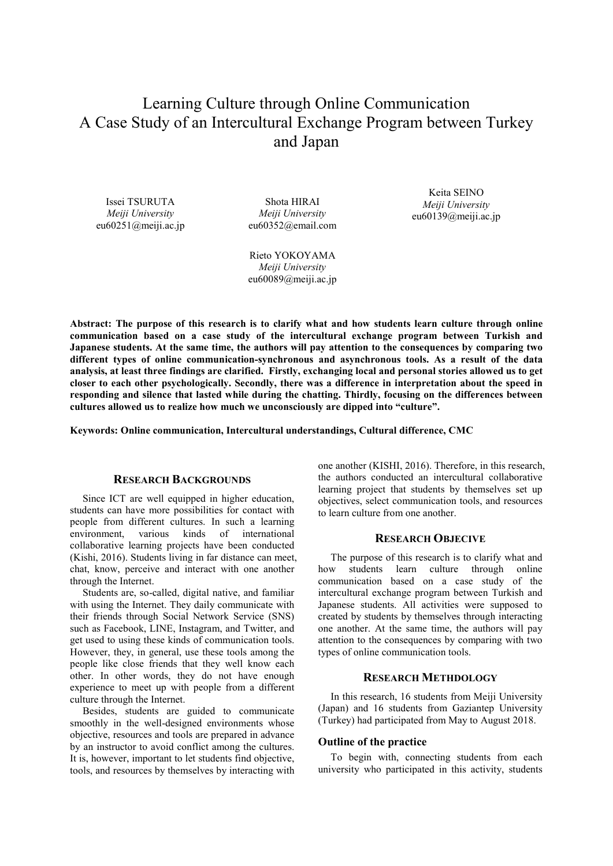# Learning Culture through Online Communication A Case Study of an Intercultural Exchange Program between Turkey and Japan

Issei TSURUTA *Meiji University* eu60251@meiji.ac.jp

Shota HIRAI *Meiji University* eu60352@email.com

Keita SEINO *Meiji University* eu60139@meiji.ac.jp

Rieto YOKOYAMA *Meiji University* eu60089@meiji.ac.jp

**Abstract: The purpose of this research is to clarify what and how students learn culture through online communication based on a case study of the intercultural exchange program between Turkish and Japanese students. At the same time, the authors will pay attention to the consequences by comparing two different types of online communication-synchronous and asynchronous tools. As a result of the data analysis, at least three findings are clarified. Firstly, exchanging local and personal stories allowed us to get closer to each other psychologically. Secondly, there was a difference in interpretation about the speed in responding and silence that lasted while during the chatting. Thirdly, focusing on the differences between cultures allowed us to realize how much we unconsciously are dipped into "culture".** 

**Keywords: Online communication, Intercultural understandings, Cultural difference, CMC** 

## **RESEARCH BACKGROUNDS**

Since ICT are well equipped in higher education, students can have more possibilities for contact with people from different cultures. In such a learning environment, various kinds of international collaborative learning projects have been conducted (Kishi, 2016). Students living in far distance can meet, chat, know, perceive and interact with one another through the Internet.

Students are, so-called, digital native, and familiar with using the Internet. They daily communicate with their friends through Social Network Service (SNS) such as Facebook, LINE, Instagram, and Twitter, and get used to using these kinds of communication tools. However, they, in general, use these tools among the people like close friends that they well know each other. In other words, they do not have enough experience to meet up with people from a different culture through the Internet.

Besides, students are guided to communicate smoothly in the well-designed environments whose objective, resources and tools are prepared in advance by an instructor to avoid conflict among the cultures. It is, however, important to let students find objective, tools, and resources by themselves by interacting with

one another (KISHI, 2016). Therefore, in this research, the authors conducted an intercultural collaborative learning project that students by themselves set up objectives, select communication tools, and resources to learn culture from one another.

# **RESEARCH OBJECIVE**

The purpose of this research is to clarify what and how students learn culture through online communication based on a case study of the intercultural exchange program between Turkish and Japanese students. All activities were supposed to created by students by themselves through interacting one another. At the same time, the authors will pay attention to the consequences by comparing with two types of online communication tools.

## **RESEARCH METHDOLOGY**

In this research, 16 students from Meiji University (Japan) and 16 students from Gaziantep University (Turkey) had participated from May to August 2018.

#### **Outline of the practice**

To begin with, connecting students from each university who participated in this activity, students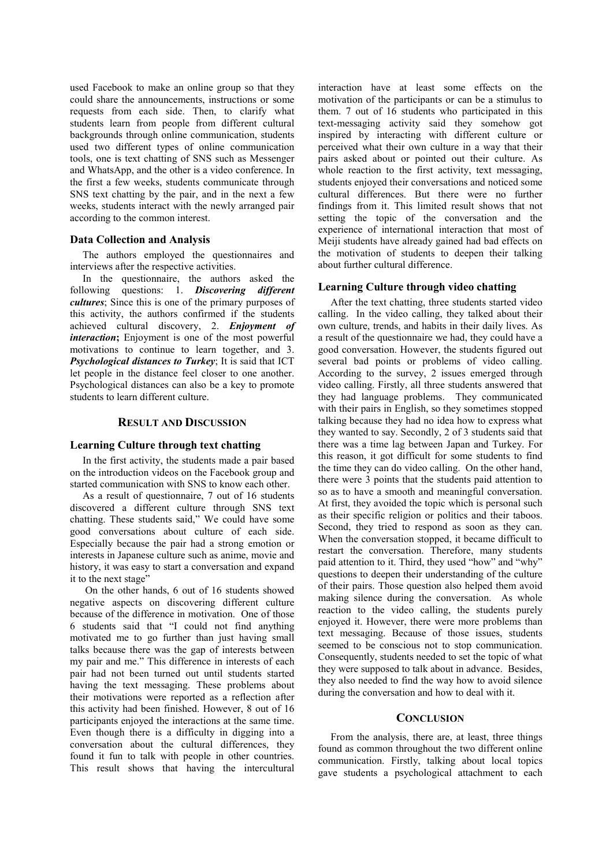used Facebook to make an online group so that they could share the announcements, instructions or some requests from each side. Then, to clarify what students learn from people from different cultural backgrounds through online communication, students used two different types of online communication tools, one is text chatting of SNS such as Messenger and WhatsApp, and the other is a video conference. In the first a few weeks, students communicate through SNS text chatting by the pair, and in the next a few weeks, students interact with the newly arranged pair according to the common interest.

### **Data Collection and Analysis**

The authors employed the questionnaires and interviews after the respective activities.

In the questionnaire, the authors asked the following questions: 1. *Discovering different cultures*; Since this is one of the primary purposes of this activity, the authors confirmed if the students achieved cultural discovery, 2. *Enjoyment of interaction*: Enjoyment is one of the most powerful motivations to continue to learn together, and 3. *Psychological distances to Turkey*; It is said that ICT let people in the distance feel closer to one another. Psychological distances can also be a key to promote students to learn different culture.

## **RESULT AND DISCUSSION**

## **Learning Culture through text chatting**

In the first activity, the students made a pair based on the introduction videos on the Facebook group and started communication with SNS to know each other.

As a result of questionnaire, 7 out of 16 students discovered a different culture through SNS text chatting. These students said," We could have some good conversations about culture of each side. Especially because the pair had a strong emotion or interests in Japanese culture such as anime, movie and history, it was easy to start a conversation and expand it to the next stage"

 On the other hands, 6 out of 16 students showed negative aspects on discovering different culture because of the difference in motivation. One of those 6 students said that "I could not find anything motivated me to go further than just having small talks because there was the gap of interests between my pair and me." This difference in interests of each pair had not been turned out until students started having the text messaging. These problems about their motivations were reported as a reflection after this activity had been finished. However, 8 out of 16 participants enjoyed the interactions at the same time. Even though there is a difficulty in digging into a conversation about the cultural differences, they found it fun to talk with people in other countries. This result shows that having the intercultural

interaction have at least some effects on the motivation of the participants or can be a stimulus to them. 7 out of 16 students who participated in this text-messaging activity said they somehow got inspired by interacting with different culture or perceived what their own culture in a way that their pairs asked about or pointed out their culture. As whole reaction to the first activity, text messaging, students enjoyed their conversations and noticed some cultural differences. But there were no further findings from it. This limited result shows that not setting the topic of the conversation and the experience of international interaction that most of Meiji students have already gained had bad effects on the motivation of students to deepen their talking about further cultural difference.

### **Learning Culture through video chatting**

After the text chatting, three students started video calling. In the video calling, they talked about their own culture, trends, and habits in their daily lives. As a result of the questionnaire we had, they could have a good conversation. However, the students figured out several bad points or problems of video calling. According to the survey, 2 issues emerged through video calling. Firstly, all three students answered that they had language problems. They communicated with their pairs in English, so they sometimes stopped talking because they had no idea how to express what they wanted to say. Secondly, 2 of 3 students said that there was a time lag between Japan and Turkey. For this reason, it got difficult for some students to find the time they can do video calling. On the other hand, there were 3 points that the students paid attention to so as to have a smooth and meaningful conversation. At first, they avoided the topic which is personal such as their specific religion or politics and their taboos. Second, they tried to respond as soon as they can. When the conversation stopped, it became difficult to restart the conversation. Therefore, many students paid attention to it. Third, they used "how" and "why" questions to deepen their understanding of the culture of their pairs. Those question also helped them avoid making silence during the conversation. As whole reaction to the video calling, the students purely enjoyed it. However, there were more problems than text messaging. Because of those issues, students seemed to be conscious not to stop communication. Consequently, students needed to set the topic of what they were supposed to talk about in advance. Besides, they also needed to find the way how to avoid silence during the conversation and how to deal with it.

#### **CONCLUSION**

From the analysis, there are, at least, three things found as common throughout the two different online communication. Firstly, talking about local topics gave students a psychological attachment to each